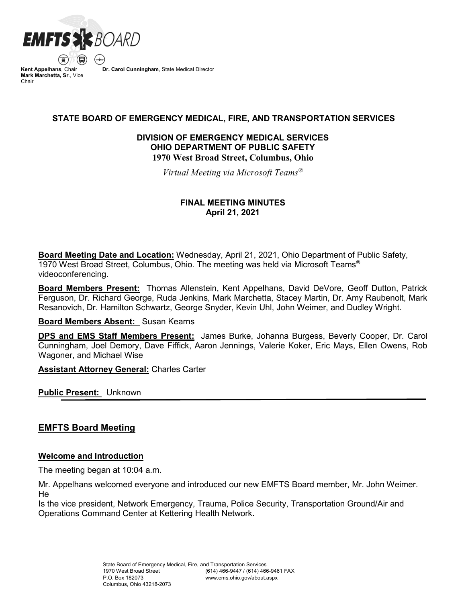

**Kent Appelhans**, Chair **Mark Marchetta, Sr**., Vice Chair

**Dr. Carol Cunningham**, State Medical Director

# **STATE BOARD OF EMERGENCY MEDICAL, FIRE, AND TRANSPORTATION SERVICES**

# **DIVISION OF EMERGENCY MEDICAL SERVICES OHIO DEPARTMENT OF PUBLIC SAFETY 1970 West Broad Street, Columbus, Ohio**

*Virtual Meeting via Microsoft Teams®*

# **FINAL MEETING MINUTES April 21, 2021**

**Board Meeting Date and Location:** Wednesday, April 21, 2021, Ohio Department of Public Safety, 1970 West Broad Street, Columbus, Ohio. The meeting was held via Microsoft Teams® videoconferencing.

**Board Members Present:** Thomas Allenstein, Kent Appelhans, David DeVore, Geoff Dutton, Patrick Ferguson, Dr. Richard George, Ruda Jenkins, Mark Marchetta, Stacey Martin, Dr. Amy Raubenolt, Mark Resanovich, Dr. Hamilton Schwartz, George Snyder, Kevin Uhl, John Weimer, and Dudley Wright.

# **Board Members Absent:** Susan Kearns

**DPS and EMS Staff Members Present:** James Burke, Johanna Burgess, Beverly Cooper, Dr. Carol Cunningham, Joel Demory, Dave Fiffick, Aaron Jennings, Valerie Koker, Eric Mays, Ellen Owens, Rob Wagoner, and Michael Wise

**Assistant Attorney General:** Charles Carter

**Public Present:** Unknown

# **EMFTS Board Meeting**

#### **Welcome and Introduction**

The meeting began at 10:04 a.m.

Mr. Appelhans welcomed everyone and introduced our new EMFTS Board member, Mr. John Weimer. He

Is the vice president, Network Emergency, Trauma, Police Security, Transportation Ground/Air and Operations Command Center at Kettering Health Network.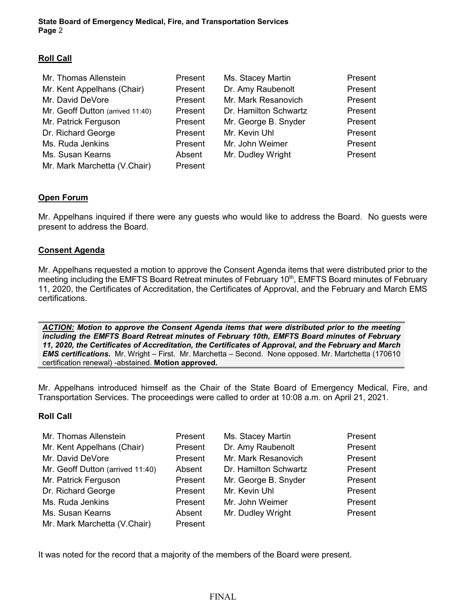# **Roll Call**

| Mr. Thomas Allenstein            | Present | Ms. Stacey Martin     | Present |
|----------------------------------|---------|-----------------------|---------|
| Mr. Kent Appelhans (Chair)       | Present | Dr. Amy Raubenolt     | Present |
| Mr. David DeVore                 | Present | Mr. Mark Resanovich   | Present |
| Mr. Geoff Dutton (arrived 11:40) | Present | Dr. Hamilton Schwartz | Present |
| Mr. Patrick Ferguson             | Present | Mr. George B. Snyder  | Present |
| Dr. Richard George               | Present | Mr. Kevin Uhl         | Present |
| Ms. Ruda Jenkins                 | Present | Mr. John Weimer       | Present |
| Ms. Susan Kearns                 | Absent  | Mr. Dudley Wright     | Present |
| Mr. Mark Marchetta (V.Chair)     | Present |                       |         |

# **Open Forum**

Mr. Appelhans inquired if there were any guests who would like to address the Board. No guests were present to address the Board.

# **Consent Agenda**

Mr. Appelhans requested a motion to approve the Consent Agenda items that were distributed prior to the meeting including the EMFTS Board Retreat minutes of February 10<sup>th</sup>, EMFTS Board minutes of February 11, 2020, the Certificates of Accreditation, the Certificates of Approval, and the February and March EMS certifications.

*ACTION: Motion to approve the Consent Agenda items that were distributed prior to the meeting including the EMFTS Board Retreat minutes of February 10th, EMFTS Board minutes of February 11, 2020, the Certificates of Accreditation, the Certificates of Approval, and the February and March EMS certifications.* Mr. Wright – First. Mr. Marchetta – Second. None opposed. Mr. Martchetta (170610 certification renewal) -abstained. **Motion approved.**

Mr. Appelhans introduced himself as the Chair of the State Board of Emergency Medical, Fire, and Transportation Services. The proceedings were called to order at 10:08 a.m. on April 21, 2021.

# **Roll Call**

| Mr. Thomas Allenstein            | Present | Ms. Stacey Martin     | Present |
|----------------------------------|---------|-----------------------|---------|
| Mr. Kent Appelhans (Chair)       | Present | Dr. Amy Raubenolt     | Present |
| Mr. David DeVore                 | Present | Mr. Mark Resanovich   | Present |
| Mr. Geoff Dutton (arrived 11:40) | Absent  | Dr. Hamilton Schwartz | Present |
| Mr. Patrick Ferguson             | Present | Mr. George B. Snyder  | Present |
| Dr. Richard George               | Present | Mr. Kevin Uhl         | Present |
| Ms. Ruda Jenkins                 | Present | Mr. John Weimer       | Present |
| Ms. Susan Kearns                 | Absent  | Mr. Dudley Wright     | Present |
| Mr. Mark Marchetta (V.Chair)     | Present |                       |         |

It was noted for the record that a majority of the members of the Board were present.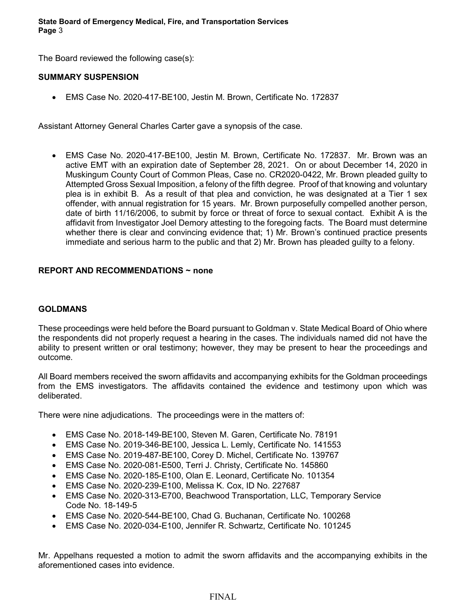The Board reviewed the following case(s):

## **SUMMARY SUSPENSION**

• EMS Case No. 2020-417-BE100, Jestin M. Brown, Certificate No. 172837

Assistant Attorney General Charles Carter gave a synopsis of the case.

• EMS Case No. 2020-417-BE100, Jestin M. Brown, Certificate No. 172837. Mr. Brown was an active EMT with an expiration date of September 28, 2021. On or about December 14, 2020 in Muskingum County Court of Common Pleas, Case no. CR2020-0422, Mr. Brown pleaded guilty to Attempted Gross Sexual Imposition, a felony of the fifth degree. Proof of that knowing and voluntary plea is in exhibit B. As a result of that plea and conviction, he was designated at a Tier 1 sex offender, with annual registration for 15 years. Mr. Brown purposefully compelled another person, date of birth 11/16/2006, to submit by force or threat of force to sexual contact. Exhibit A is the affidavit from Investigator Joel Demory attesting to the foregoing facts. The Board must determine whether there is clear and convincing evidence that; 1) Mr. Brown's continued practice presents immediate and serious harm to the public and that 2) Mr. Brown has pleaded guilty to a felony.

## **REPORT AND RECOMMENDATIONS ~ none**

#### **GOLDMANS**

These proceedings were held before the Board pursuant to Goldman v. State Medical Board of Ohio where the respondents did not properly request a hearing in the cases. The individuals named did not have the ability to present written or oral testimony; however, they may be present to hear the proceedings and outcome.

All Board members received the sworn affidavits and accompanying exhibits for the Goldman proceedings from the EMS investigators. The affidavits contained the evidence and testimony upon which was deliberated.

There were nine adjudications. The proceedings were in the matters of:

- EMS Case No. 2018-149-BE100, Steven M. Garen, Certificate No. 78191
- EMS Case No. 2019-346-BE100, Jessica L. Lemly, Certificate No. 141553
- EMS Case No. 2019-487-BE100, Corey D. Michel, Certificate No. 139767
- EMS Case No. 2020-081-E500, Terri J. Christy, Certificate No. 145860
- EMS Case No. 2020-185-E100, Olan E. Leonard, Certificate No. 101354
- EMS Case No. 2020-239-E100, Melissa K. Cox, ID No. 227687
- EMS Case No. 2020-313-E700, Beachwood Transportation, LLC, Temporary Service Code No. 18-149-5
- EMS Case No. 2020-544-BE100, Chad G. Buchanan, Certificate No. 100268
- EMS Case No. 2020-034-E100, Jennifer R. Schwartz, Certificate No. 101245

Mr. Appelhans requested a motion to admit the sworn affidavits and the accompanying exhibits in the aforementioned cases into evidence.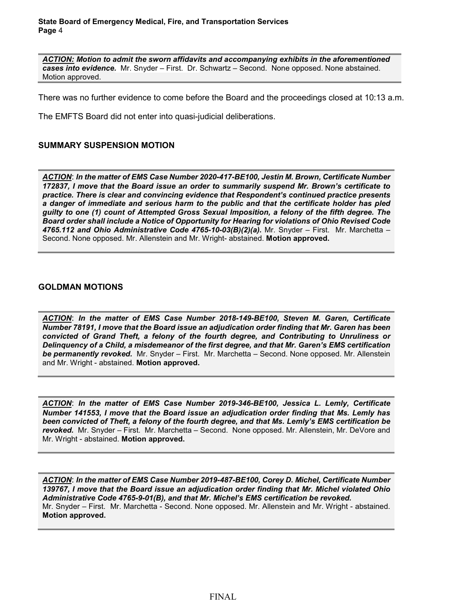*ACTION: Motion to admit the sworn affidavits and accompanying exhibits in the aforementioned cases into evidence.* Mr. Snyder – First. Dr. Schwartz – Second. None opposed. None abstained. Motion approved.

There was no further evidence to come before the Board and the proceedings closed at 10:13 a.m.

The EMFTS Board did not enter into quasi-judicial deliberations.

#### **SUMMARY SUSPENSION MOTION**

*ACTION*: *In the matter of EMS Case Number 2020-417-BE100, Jestin M. Brown, Certificate Number 172837, I move that the Board issue an order to summarily suspend Mr. Brown's certificate to practice. There is clear and convincing evidence that Respondent's continued practice presents a danger of immediate and serious harm to the public and that the certificate holder has pled guilty to one (1) count of Attempted Gross Sexual Imposition, a felony of the fifth degree. The Board order shall include a Notice of Opportunity for Hearing for violations of Ohio Revised Code 4765.112 and Ohio Administrative Code 4765-10-03(B)(2)(a).* Mr. Snyder – First. Mr. Marchetta – Second. None opposed. Mr. Allenstein and Mr. Wright- abstained. **Motion approved.**

#### **GOLDMAN MOTIONS**

*ACTION*: *In the matter of EMS Case Number 2018-149-BE100, Steven M. Garen, Certificate Number 78191, I move that the Board issue an adjudication order finding that Mr. Garen has been convicted of Grand Theft, a felony of the fourth degree, and Contributing to Unruliness or Delinquency of a Child, a misdemeanor of the first degree, and that Mr. Garen's EMS certification be permanently revoked.* Mr. Snyder – First. Mr. Marchetta – Second. None opposed. Mr. Allenstein and Mr. Wright - abstained. **Motion approved.**

*ACTION*: *In the matter of EMS Case Number 2019-346-BE100, Jessica L. Lemly, Certificate Number 141553, I move that the Board issue an adjudication order finding that Ms. Lemly has been convicted of Theft, a felony of the fourth degree, and that Ms. Lemly's EMS certification be revoked.* Mr. Snyder – First. Mr. Marchetta – Second. None opposed. Mr. Allenstein, Mr. DeVore and Mr. Wright - abstained. **Motion approved.**

*ACTION*: *In the matter of EMS Case Number 2019-487-BE100, Corey D. Michel, Certificate Number 139767, I move that the Board issue an adjudication order finding that Mr. Michel violated Ohio Administrative Code 4765-9-01(B), and that Mr. Michel's EMS certification be revoked.*  Mr. Snyder – First. Mr. Marchetta - Second. None opposed. Mr. Allenstein and Mr. Wright - abstained. **Motion approved.**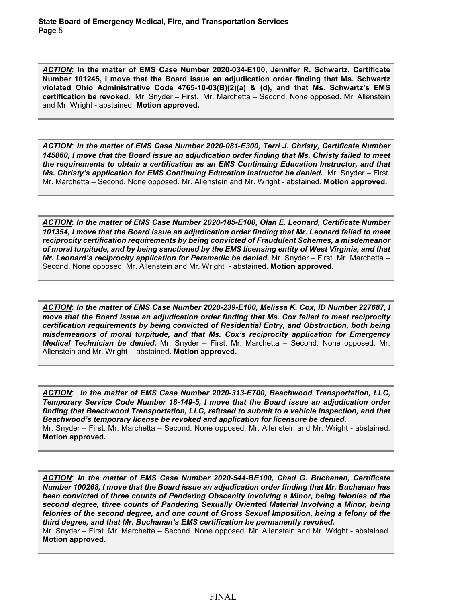*ACTION*: **In the matter of EMS Case Number 2020-034-E100, Jennifer R. Schwartz, Certificate Number 101245, I move that the Board issue an adjudication order finding that Ms. Schwartz violated Ohio Administrative Code 4765-10-03(B)(2)(a) & (d), and that Ms. Schwartz's EMS certification be revoked.** Mr. Snyder – First. Mr. Marchetta – Second. None opposed. Mr. Allenstein and Mr. Wright - abstained. **Motion approved.**

*ACTION*: *In the matter of EMS Case Number 2020-081-E300, Terri J. Christy, Certificate Number 145860, I move that the Board issue an adjudication order finding that Ms. Christy failed to meet the requirements to obtain a certification as an EMS Continuing Education Instructor, and that Ms. Christy's application for EMS Continuing Education Instructor be denied.* Mr. Snyder – First. Mr. Marchetta – Second. None opposed. Mr. Allenstein and Mr. Wright - abstained. **Motion approved.**

*ACTION*: *In the matter of EMS Case Number 2020-185-E100, Olan E. Leonard, Certificate Number 101354, I move that the Board issue an adjudication order finding that Mr. Leonard failed to meet reciprocity certification requirements by being convicted of Fraudulent Schemes, a misdemeanor of moral turpitude, and by being sanctioned by the EMS licensing entity of West Virginia, and that Mr. Leonard's reciprocity application for Paramedic be denied.* Mr. Snyder – First. Mr. Marchetta – Second. None opposed. Mr. Allenstein and Mr. Wright - abstained. **Motion approved.**

*ACTION*: *In the matter of EMS Case Number 2020-239-E100, Melissa K. Cox, ID Number 227687, I move that the Board issue an adjudication order finding that Ms. Cox failed to meet reciprocity certification requirements by being convicted of Residential Entry, and Obstruction, both being misdemeanors of moral turpitude, and that Ms. Cox's reciprocity application for Emergency Medical Technician be denied.* Mr. Snyder – First. Mr. Marchetta – Second. None opposed. Mr. Allenstein and Mr. Wright - abstained. **Motion approved.**

*ACTION*: *In the matter of EMS Case Number 2020-313-E700, Beachwood Transportation, LLC, Temporary Service Code Number 18-149-5, I move that the Board issue an adjudication order finding that Beachwood Transportation, LLC, refused to submit to a vehicle inspection, and that Beachwood's temporary license be revoked and application for licensure be denied.*  Mr. Snyder – First. Mr. Marchetta – Second. None opposed. Mr. Allenstein and Mr. Wright - abstained. **Motion approved.**

*ACTION*: *In the matter of EMS Case Number 2020-544-BE100, Chad G. Buchanan, Certificate Number 100268, I move that the Board issue an adjudication order finding that Mr. Buchanan has been convicted of three counts of Pandering Obscenity Involving a Minor, being felonies of the second degree, three counts of Pandering Sexually Oriented Material Involving a Minor, being felonies of the second degree, and one count of Gross Sexual Imposition, being a felony of the third degree, and that Mr. Buchanan's EMS certification be permanently revoked.* 

Mr. Snyder – First. Mr. Marchetta – Second. None opposed. Mr. Allenstein and Mr. Wright - abstained. **Motion approved.**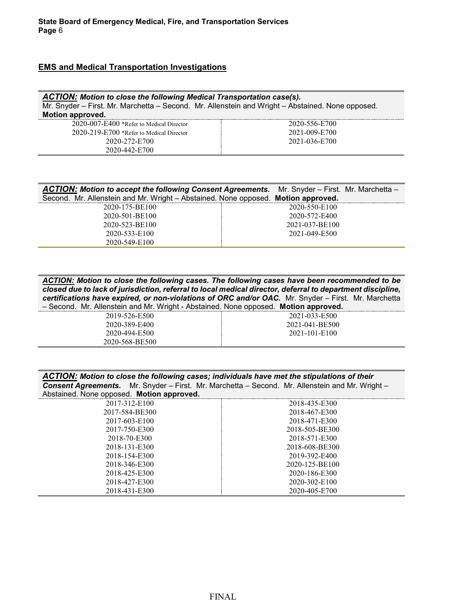### **EMS and Medical Transportation Investigations**

| <b>ACTION: Motion to close the following Medical Transportation case(s).</b><br>Mr. Snyder - First. Mr. Marchetta - Second. Mr. Allenstein and Wright - Abstained. None opposed.<br>Motion approved. |               |  |  |
|------------------------------------------------------------------------------------------------------------------------------------------------------------------------------------------------------|---------------|--|--|
| 2020-007-E400 *Refer to Medical Director                                                                                                                                                             | 2020-556-E700 |  |  |
| 2020-219-E700 *Refer to Medical Director                                                                                                                                                             | 2021-009-E700 |  |  |
| 2020-272-E700                                                                                                                                                                                        | 2021-036-E700 |  |  |
| 2020-442-E700                                                                                                                                                                                        |               |  |  |

| <b>ACTION: Motion to accept the following Consent Agreements.</b> Mr. Snyder – First. Mr. Marchetta –<br>Second. Mr. Allenstein and Mr. Wright - Abstained. None opposed. Motion approved. |                |
|--------------------------------------------------------------------------------------------------------------------------------------------------------------------------------------------|----------------|
| 2020-175-BE100                                                                                                                                                                             | 2020-550-E100  |
| 2020-501-BE100                                                                                                                                                                             | 2020-572-E400  |
| 2020-523-BE100                                                                                                                                                                             | 2021-037-BE100 |
| 2020-533-E100                                                                                                                                                                              | 2021-049-E500  |
| 2020-549-E100                                                                                                                                                                              |                |

*ACTION: Motion to close the following cases. The following cases have been recommended to be closed due to lack of jurisdiction, referral to local medical director, deferral to department discipline, certifications have expired, or non-violations of ORC and/or OAC.* Mr. Snyder – First. Mr. Marchetta – Second. Mr. Allenstein and Mr. Wright - Abstained. None opposed. **Motion approved.**

2019-526-E500 2020-389-E400 2020-494-E500 2020-568-BE500

2021-033-E500 2021-041-BE500 2021-101-E100

| ACTION: Motion to close the following cases; individuals have met the stipulations of their            |               |  |  |
|--------------------------------------------------------------------------------------------------------|---------------|--|--|
| <b>Consent Agreements.</b> Mr. Snyder – First. Mr. Marchetta – Second. Mr. Allenstein and Mr. Wright – |               |  |  |
| Abstained. None opposed. Motion approved.                                                              |               |  |  |
| 2017-312-E100                                                                                          | 2018-435-E300 |  |  |

| 2017-312-E100  | 2018-435-E300  |
|----------------|----------------|
| 2017-584-BE300 | 2018-467-E300  |
| 2017-603-E100  | 2018-471-E300  |
| 2017-750-E300  | 2018-505-BE300 |
| 2018-70-E300   | 2018-571-E300  |
| 2018-131-E300  | 2018-608-BE300 |
| 2018-154-E300  | 2019-392-E400  |
| 2018-346-E300  | 2020-125-BE100 |
| 2018-425-E300  | 2020-186-E300  |
| 2018-427-E300  | 2020-302-E100  |
| 2018-431-E300  | 2020-405-E700  |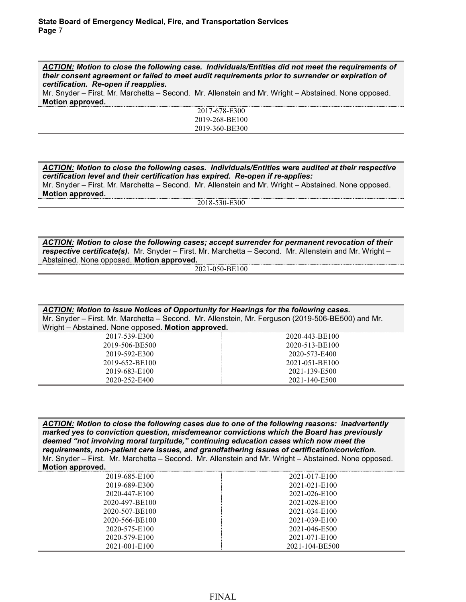*ACTION: Motion to close the following case. Individuals/Entities did not meet the requirements of their consent agreement or failed to meet audit requirements prior to surrender or expiration of certification. Re-open if reapplies.*

Mr. Snyder – First. Mr. Marchetta – Second. Mr. Allenstein and Mr. Wright – Abstained. None opposed. **Motion approved.**

> 2017-678-E300 2019-268-BE100 2019-360-BE300

*ACTION: Motion to close the following cases. Individuals/Entities were audited at their respective certification level and their certification has expired. Re-open if re-applies:*

Mr. Snyder – First. Mr. Marchetta – Second. Mr. Allenstein and Mr. Wright – Abstained. None opposed. **Motion approved.**

2018-530-E300

*ACTION: Motion to close the following cases; accept surrender for permanent revocation of their respective certificate(s).* Mr. Snyder – First. Mr. Marchetta – Second. Mr. Allenstein and Mr. Wright – Abstained. None opposed. **Motion approved.**

2021-050-BE100

*ACTION: Motion to issue Notices of Opportunity for Hearings for the following cases.* Mr. Snyder – First. Mr. Marchetta – Second. Mr. Allenstein, Mr. Ferguson (2019-506-BE500) and Mr. Wright – Abstained. None opposed. **Motion approved.**

| 2017-539-E300  | 2020-443-BE100 |
|----------------|----------------|
| 2019-506-BE500 | 2020-513-BE100 |
| 2019-592-E300  | 2020-573-E400  |
| 2019-652-BE100 | 2021-051-BE100 |
| 2019-683-E100  | 2021-139-E500  |
| 2020-252-E400  | 2021-140-E500  |

*ACTION: Motion to close the following cases due to one of the following reasons: inadvertently marked yes to conviction question, misdemeanor convictions which the Board has previously deemed "not involving moral turpitude," continuing education cases which now meet the requirements, non-patient care issues, and grandfathering issues of certification/conviction.*  Mr. Snyder – First. Mr. Marchetta – Second. Mr. Allenstein and Mr. Wright – Abstained. None opposed. **Motion approved.**

| 2021-017-E100  |
|----------------|
| 2021-021-E100  |
| 2021-026-E100  |
| 2021-028-E100  |
| 2021-034-E100  |
| 2021-039-E100  |
| 2021-046-E500  |
| 2021-071-E100  |
| 2021-104-BE500 |
|                |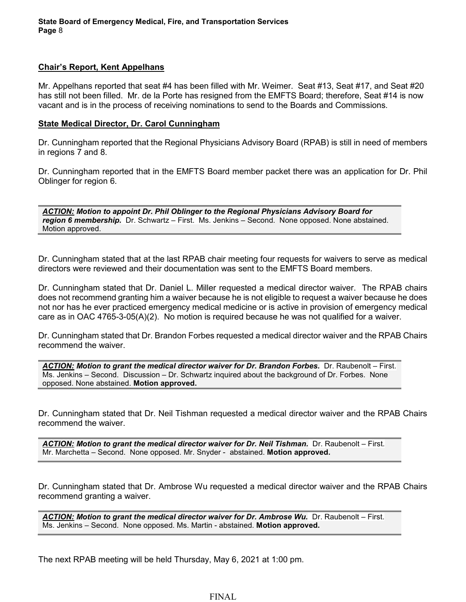### **Chair's Report, Kent Appelhans**

Mr. Appelhans reported that seat #4 has been filled with Mr. Weimer. Seat #13, Seat #17, and Seat #20 has still not been filled. Mr. de la Porte has resigned from the EMFTS Board; therefore, Seat #14 is now vacant and is in the process of receiving nominations to send to the Boards and Commissions.

### **State Medical Director, Dr. Carol Cunningham**

Dr. Cunningham reported that the Regional Physicians Advisory Board (RPAB) is still in need of members in regions 7 and 8.

Dr. Cunningham reported that in the EMFTS Board member packet there was an application for Dr. Phil Oblinger for region 6.

*ACTION: Motion to appoint Dr. Phil Oblinger to the Regional Physicians Advisory Board for region 6 membership.* Dr. Schwartz – First. Ms. Jenkins – Second. None opposed. None abstained. Motion approved.

Dr. Cunningham stated that at the last RPAB chair meeting four requests for waivers to serve as medical directors were reviewed and their documentation was sent to the EMFTS Board members.

Dr. Cunningham stated that Dr. Daniel L. Miller requested a medical director waiver. The RPAB chairs does not recommend granting him a waiver because he is not eligible to request a waiver because he does not nor has he ever practiced emergency medical medicine or is active in provision of emergency medical care as in OAC 4765-3-05(A)(2). No motion is required because he was not qualified for a waiver.

Dr. Cunningham stated that Dr. Brandon Forbes requested a medical director waiver and the RPAB Chairs recommend the waiver.

*ACTION: Motion to grant the medical director waiver for Dr. Brandon Forbes.* Dr. Raubenolt – First. Ms. Jenkins – Second. Discussion – Dr. Schwartz inquired about the background of Dr. Forbes. None opposed. None abstained. **Motion approved.**

Dr. Cunningham stated that Dr. Neil Tishman requested a medical director waiver and the RPAB Chairs recommend the waiver.

*ACTION: Motion to grant the medical director waiver for Dr. Neil Tishman.* Dr. Raubenolt – First. Mr. Marchetta – Second. None opposed. Mr. Snyder - abstained. **Motion approved.**

Dr. Cunningham stated that Dr. Ambrose Wu requested a medical director waiver and the RPAB Chairs recommend granting a waiver.

*ACTION: Motion to grant the medical director waiver for Dr. Ambrose Wu.* Dr. Raubenolt – First. Ms. Jenkins – Second. None opposed. Ms. Martin - abstained. **Motion approved.**

The next RPAB meeting will be held Thursday, May 6, 2021 at 1:00 pm.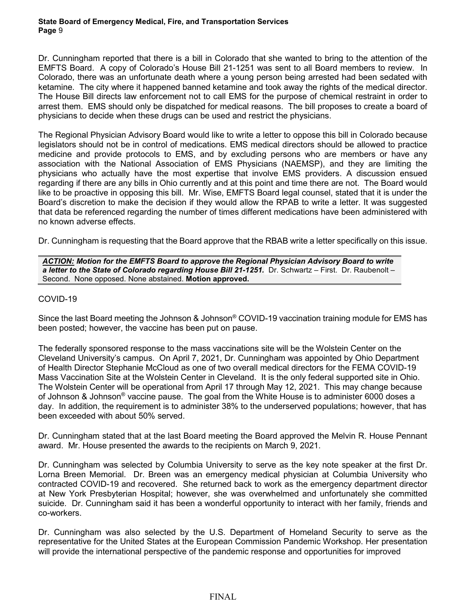Dr. Cunningham reported that there is a bill in Colorado that she wanted to bring to the attention of the EMFTS Board. A copy of Colorado's House Bill 21-1251 was sent to all Board members to review. In Colorado, there was an unfortunate death where a young person being arrested had been sedated with ketamine. The city where it happened banned ketamine and took away the rights of the medical director. The House Bill directs law enforcement not to call EMS for the purpose of chemical restraint in order to arrest them. EMS should only be dispatched for medical reasons. The bill proposes to create a board of physicians to decide when these drugs can be used and restrict the physicians.

The Regional Physician Advisory Board would like to write a letter to oppose this bill in Colorado because legislators should not be in control of medications. EMS medical directors should be allowed to practice medicine and provide protocols to EMS, and by excluding persons who are members or have any association with the National Association of EMS Physicians (NAEMSP), and they are limiting the physicians who actually have the most expertise that involve EMS providers. A discussion ensued regarding if there are any bills in Ohio currently and at this point and time there are not. The Board would like to be proactive in opposing this bill. Mr. Wise, EMFTS Board legal counsel, stated that it is under the Board's discretion to make the decision if they would allow the RPAB to write a letter. It was suggested that data be referenced regarding the number of times different medications have been administered with no known adverse effects.

Dr. Cunningham is requesting that the Board approve that the RBAB write a letter specifically on this issue.

*ACTION: Motion for the EMFTS Board to approve the Regional Physician Advisory Board to write a letter to the State of Colorado regarding House Bill 21-1251.* Dr. Schwartz – First. Dr. Raubenolt – Second. None opposed. None abstained. **Motion approved.**

### COVID-19

Since the last Board meeting the Johnson & Johnson<sup>®</sup> COVID-19 vaccination training module for EMS has been posted; however, the vaccine has been put on pause.

The federally sponsored response to the mass vaccinations site will be the Wolstein Center on the Cleveland University's campus. On April 7, 2021, Dr. Cunningham was appointed by Ohio Department of Health Director Stephanie McCloud as one of two overall medical directors for the FEMA COVID-19 Mass Vaccination Site at the Wolstein Center in Cleveland. It is the only federal supported site in Ohio. The Wolstein Center will be operational from April 17 through May 12, 2021. This may change because of Johnson & Johnson<sup>®</sup> vaccine pause. The goal from the White House is to administer 6000 doses a day. In addition, the requirement is to administer 38% to the underserved populations; however, that has been exceeded with about 50% served.

Dr. Cunningham stated that at the last Board meeting the Board approved the Melvin R. House Pennant award. Mr. House presented the awards to the recipients on March 9, 2021.

Dr. Cunningham was selected by Columbia University to serve as the key note speaker at the first Dr. Lorna Breen Memorial. Dr. Breen was an emergency medical physician at Columbia University who contracted COVID-19 and recovered. She returned back to work as the emergency department director at New York Presbyterian Hospital; however, she was overwhelmed and unfortunately she committed suicide. Dr. Cunningham said it has been a wonderful opportunity to interact with her family, friends and co-workers.

Dr. Cunningham was also selected by the U.S. Department of Homeland Security to serve as the representative for the United States at the European Commission Pandemic Workshop. Her presentation will provide the international perspective of the pandemic response and opportunities for improved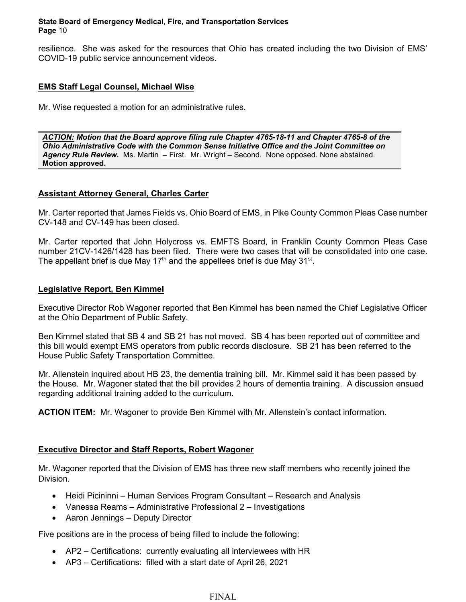resilience. She was asked for the resources that Ohio has created including the two Division of EMS' COVID-19 public service announcement videos.

## **EMS Staff Legal Counsel, Michael Wise**

Mr. Wise requested a motion for an administrative rules.

*ACTION: Motion that the Board approve filing rule Chapter 4765-18-11 and Chapter 4765-8 of the Ohio Administrative Code with the Common Sense Initiative Office and the Joint Committee on Agency Rule Review.* Ms. Martin – First. Mr. Wright – Second. None opposed. None abstained. **Motion approved.**

## **Assistant Attorney General, Charles Carter**

Mr. Carter reported that James Fields vs. Ohio Board of EMS, in Pike County Common Pleas Case number CV-148 and CV-149 has been closed.

Mr. Carter reported that John Holycross vs. EMFTS Board, in Franklin County Common Pleas Case number 21CV-1426/1428 has been filed. There were two cases that will be consolidated into one case. The appellant brief is due May 17<sup>th</sup> and the appellees brief is due May 31<sup>st</sup>.

## **Legislative Report, Ben Kimmel**

Executive Director Rob Wagoner reported that Ben Kimmel has been named the Chief Legislative Officer at the Ohio Department of Public Safety.

Ben Kimmel stated that SB 4 and SB 21 has not moved. SB 4 has been reported out of committee and this bill would exempt EMS operators from public records disclosure. SB 21 has been referred to the House Public Safety Transportation Committee.

Mr. Allenstein inquired about HB 23, the dementia training bill. Mr. Kimmel said it has been passed by the House. Mr. Wagoner stated that the bill provides 2 hours of dementia training. A discussion ensued regarding additional training added to the curriculum.

**ACTION ITEM:** Mr. Wagoner to provide Ben Kimmel with Mr. Allenstein's contact information.

# **Executive Director and Staff Reports, Robert Wagoner**

Mr. Wagoner reported that the Division of EMS has three new staff members who recently joined the Division.

- Heidi Picininni Human Services Program Consultant Research and Analysis
- Vanessa Reams Administrative Professional 2 Investigations
- Aaron Jennings Deputy Director

Five positions are in the process of being filled to include the following:

- AP2 Certifications: currently evaluating all interviewees with HR
- AP3 Certifications: filled with a start date of April 26, 2021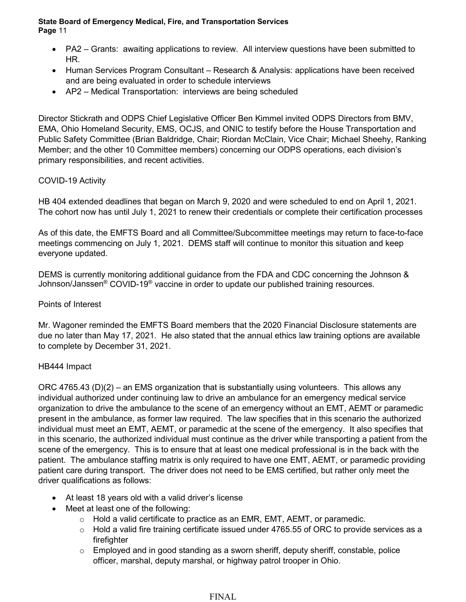- PA2 Grants: awaiting applications to review. All interview questions have been submitted to HR.
- Human Services Program Consultant Research & Analysis: applications have been received and are being evaluated in order to schedule interviews
- AP2 Medical Transportation: interviews are being scheduled

Director Stickrath and ODPS Chief Legislative Officer Ben Kimmel invited ODPS Directors from BMV, EMA, Ohio Homeland Security, EMS, OCJS, and ONIC to testify before the House Transportation and Public Safety Committee (Brian Baldridge, Chair; Riordan McClain, Vice Chair; Michael Sheehy, Ranking Member; and the other 10 Committee members) concerning our ODPS operations, each division's primary responsibilities, and recent activities.

# COVID-19 Activity

HB 404 extended deadlines that began on March 9, 2020 and were scheduled to end on April 1, 2021. The cohort now has until July 1, 2021 to renew their credentials or complete their certification processes

As of this date, the EMFTS Board and all Committee/Subcommittee meetings may return to face-to-face meetings commencing on July 1, 2021. DEMS staff will continue to monitor this situation and keep everyone updated.

DEMS is currently monitoring additional guidance from the FDA and CDC concerning the Johnson & Johnson/Janssen® COVID-19® vaccine in order to update our published training resources.

# Points of Interest

Mr. Wagoner reminded the EMFTS Board members that the 2020 Financial Disclosure statements are due no later than May 17, 2021. He also stated that the annual ethics law training options are available to complete by December 31, 2021.

# HB444 Impact

ORC 4765.43 (D)(2) – an EMS organization that is substantially using volunteers. This allows any individual authorized under continuing law to drive an ambulance for an emergency medical service organization to drive the ambulance to the scene of an emergency without an EMT, AEMT or paramedic present in the ambulance, as former law required. The law specifies that in this scenario the authorized individual must meet an EMT, AEMT, or paramedic at the scene of the emergency. It also specifies that in this scenario, the authorized individual must continue as the driver while transporting a patient from the scene of the emergency. This is to ensure that at least one medical professional is in the back with the patient. The ambulance staffing matrix is only required to have one EMT, AEMT, or paramedic providing patient care during transport. The driver does not need to be EMS certified, but rather only meet the driver qualifications as follows:

- At least 18 years old with a valid driver's license
- Meet at least one of the following:
	- o Hold a valid certificate to practice as an EMR, EMT, AEMT, or paramedic.
	- $\circ$  Hold a valid fire training certificate issued under 4765.55 of ORC to provide services as a firefighter
	- $\circ$  Employed and in good standing as a sworn sheriff, deputy sheriff, constable, police officer, marshal, deputy marshal, or highway patrol trooper in Ohio.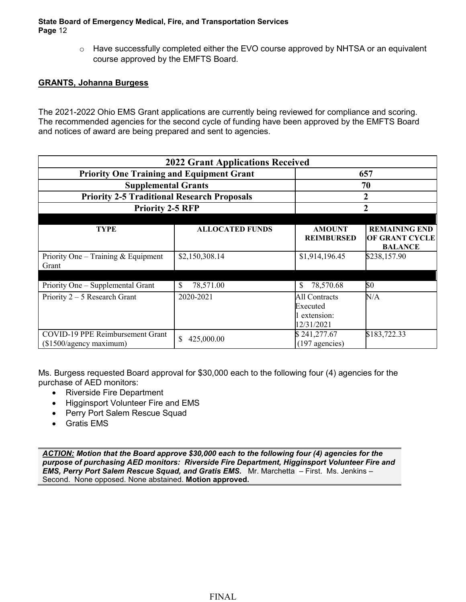> $\circ$  Have successfully completed either the EVO course approved by NHTSA or an equivalent course approved by the EMFTS Board.

## **GRANTS, Johanna Burgess**

The 2021-2022 Ohio EMS Grant applications are currently being reviewed for compliance and scoring. The recommended agencies for the second cycle of funding have been approved by the EMFTS Board and notices of award are being prepared and sent to agencies.

| <b>2022 Grant Applications Received</b>                            |                        |                                                       |                                                                 |  |
|--------------------------------------------------------------------|------------------------|-------------------------------------------------------|-----------------------------------------------------------------|--|
| <b>Priority One Training and Equipment Grant</b>                   |                        |                                                       | 657                                                             |  |
| <b>Supplemental Grants</b>                                         |                        |                                                       | 70                                                              |  |
| <b>Priority 2-5 Traditional Research Proposals</b>                 |                        | 2                                                     |                                                                 |  |
| <b>Priority 2-5 RFP</b>                                            |                        |                                                       |                                                                 |  |
|                                                                    |                        |                                                       |                                                                 |  |
| <b>TYPE</b>                                                        | <b>ALLOCATED FUNDS</b> | <b>AMOUNT</b><br><b>REIMBURSED</b>                    | <b>REMAINING END</b><br><b>OF GRANT CYCLE</b><br><b>BALANCE</b> |  |
| Priority One - Training & Equipment<br>Grant                       | \$2,150,308.14         | \$1,914,196.45                                        | \$238,157.90                                                    |  |
|                                                                    |                        |                                                       |                                                                 |  |
| Priority One - Supplemental Grant                                  | \$<br>78,571.00        | \$<br>78,570.68                                       | \$0                                                             |  |
| Priority $2 - 5$ Research Grant                                    | 2020-2021              | All Contracts<br>Executed<br>extension:<br>12/31/2021 | N/A                                                             |  |
| <b>COVID-19 PPE Reimbursement Grant</b><br>(\$1500/agercy maximum) | \$<br>425,000.00       | \$241,277.67<br>(197 agencies)                        | \$183,722.33                                                    |  |

Ms. Burgess requested Board approval for \$30,000 each to the following four (4) agencies for the purchase of AED monitors:

- Riverside Fire Department
- Higginsport Volunteer Fire and EMS
- Perry Port Salem Rescue Squad
- Gratis EMS

*ACTION: Motion that the Board approve \$30,000 each to the following four (4) agencies for the purpose of purchasing AED monitors: Riverside Fire Department, Higginsport Volunteer Fire and EMS, Perry Port Salem Rescue Squad, and Gratis EMS.* Mr. Marchetta – First. Ms. Jenkins – Second. None opposed. None abstained. **Motion approved.**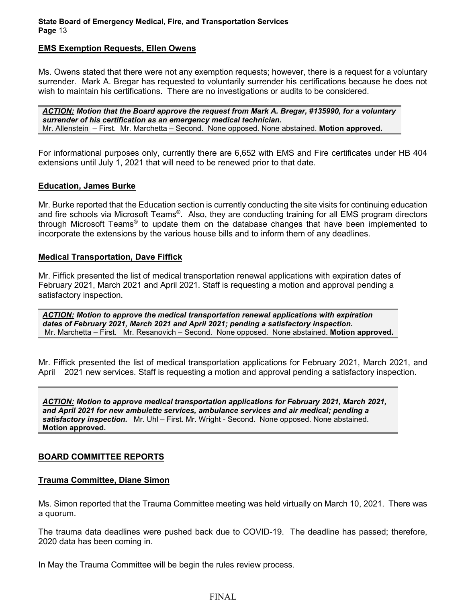#### **EMS Exemption Requests, Ellen Owens**

Ms. Owens stated that there were not any exemption requests; however, there is a request for a voluntary surrender. Mark A. Bregar has requested to voluntarily surrender his certifications because he does not wish to maintain his certifications. There are no investigations or audits to be considered.

*ACTION: Motion that the Board approve the request from Mark A. Bregar, #135990, for a voluntary surrender of his certification as an emergency medical technician.*  Mr. Allenstein – First. Mr. Marchetta – Second. None opposed. None abstained. **Motion approved.**

For informational purposes only, currently there are 6,652 with EMS and Fire certificates under HB 404 extensions until July 1, 2021 that will need to be renewed prior to that date.

#### **Education, James Burke**

Mr. Burke reported that the Education section is currently conducting the site visits for continuing education and fire schools via Microsoft Teams®. Also, they are conducting training for all EMS program directors through Microsoft Teams® to update them on the database changes that have been implemented to incorporate the extensions by the various house bills and to inform them of any deadlines.

#### **Medical Transportation, Dave Fiffick**

Mr. Fiffick presented the list of medical transportation renewal applications with expiration dates of February 2021, March 2021 and April 2021. Staff is requesting a motion and approval pending a satisfactory inspection.

*ACTION: Motion to approve the medical transportation renewal applications with expiration dates of February 2021, March 2021 and April 2021; pending a satisfactory inspection.* Mr. Marchetta – First. Mr. Resanovich – Second. None opposed. None abstained. **Motion approved.**

Mr. Fiffick presented the list of medical transportation applications for February 2021, March 2021, and April 2021 new services. Staff is requesting a motion and approval pending a satisfactory inspection.

*ACTION: Motion to approve medical transportation applications for February 2021, March 2021, and April 2021 for new ambulette services, ambulance services and air medical; pending a satisfactory inspection.* Mr. Uhl – First. Mr. Wright - Second. None opposed. None abstained. **Motion approved.**

#### **BOARD COMMITTEE REPORTS**

#### **Trauma Committee, Diane Simon**

Ms. Simon reported that the Trauma Committee meeting was held virtually on March 10, 2021. There was a quorum.

The trauma data deadlines were pushed back due to COVID-19. The deadline has passed; therefore, 2020 data has been coming in.

In May the Trauma Committee will be begin the rules review process.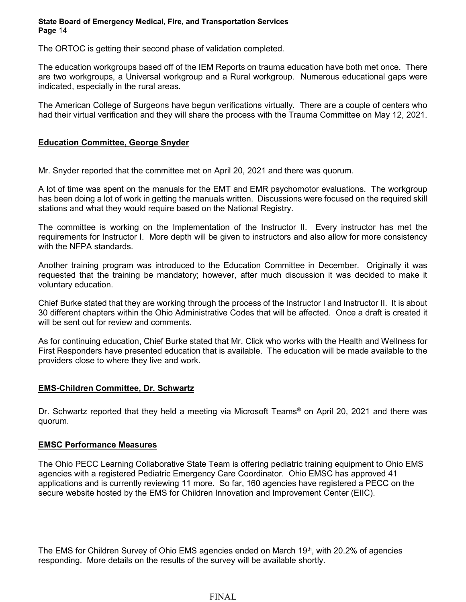The ORTOC is getting their second phase of validation completed.

The education workgroups based off of the IEM Reports on trauma education have both met once. There are two workgroups, a Universal workgroup and a Rural workgroup. Numerous educational gaps were indicated, especially in the rural areas.

The American College of Surgeons have begun verifications virtually. There are a couple of centers who had their virtual verification and they will share the process with the Trauma Committee on May 12, 2021.

# **Education Committee, George Snyder**

Mr. Snyder reported that the committee met on April 20, 2021 and there was quorum.

A lot of time was spent on the manuals for the EMT and EMR psychomotor evaluations. The workgroup has been doing a lot of work in getting the manuals written. Discussions were focused on the required skill stations and what they would require based on the National Registry.

The committee is working on the Implementation of the Instructor II. Every instructor has met the requirements for Instructor I. More depth will be given to instructors and also allow for more consistency with the NFPA standards.

Another training program was introduced to the Education Committee in December. Originally it was requested that the training be mandatory; however, after much discussion it was decided to make it voluntary education.

Chief Burke stated that they are working through the process of the Instructor I and Instructor II. It is about 30 different chapters within the Ohio Administrative Codes that will be affected. Once a draft is created it will be sent out for review and comments.

As for continuing education, Chief Burke stated that Mr. Click who works with the Health and Wellness for First Responders have presented education that is available. The education will be made available to the providers close to where they live and work.

# **EMS-Children Committee, Dr. Schwartz**

Dr. Schwartz reported that they held a meeting via Microsoft Teams<sup>®</sup> on April 20, 2021 and there was quorum.

#### **EMSC Performance Measures**

The Ohio PECC Learning Collaborative State Team is offering pediatric training equipment to Ohio EMS agencies with a registered Pediatric Emergency Care Coordinator. Ohio EMSC has approved 41 applications and is currently reviewing 11 more. So far, 160 agencies have registered a PECC on the secure website hosted by the EMS for Children Innovation and Improvement Center (EIIC).

The EMS for Children Survey of Ohio EMS agencies ended on March  $19<sup>th</sup>$ , with 20.2% of agencies responding. More details on the results of the survey will be available shortly.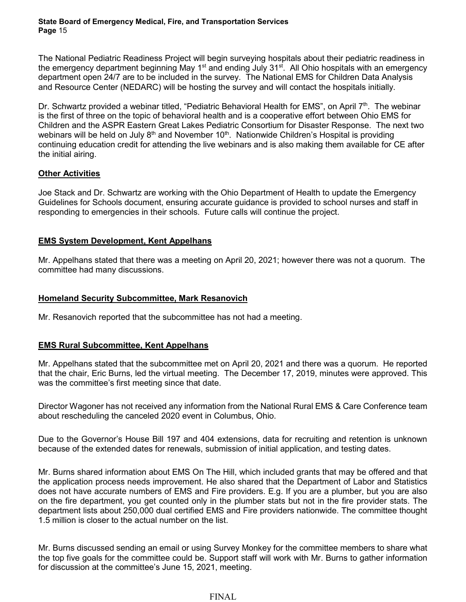The National Pediatric Readiness Project will begin surveying hospitals about their pediatric readiness in the emergency department beginning May 1<sup>st</sup> and ending July 31<sup>st</sup>. All Ohio hospitals with an emergency department open 24/7 are to be included in the survey. The National EMS for Children Data Analysis and Resource Center (NEDARC) will be hosting the survey and will contact the hospitals initially.

Dr. Schwartz provided a webinar titled, "Pediatric Behavioral Health for EMS", on April  $7<sup>th</sup>$ . The webinar is the first of three on the topic of behavioral health and is a cooperative effort between Ohio EMS for Children and the ASPR Eastern Great Lakes Pediatric Consortium for Disaster Response. The next two webinars will be held on July 8<sup>th</sup> and November 10<sup>th</sup>. Nationwide Children's Hospital is providing continuing education credit for attending the live webinars and is also making them available for CE after the initial airing.

# **Other Activities**

Joe Stack and Dr. Schwartz are working with the Ohio Department of Health to update the Emergency Guidelines for Schools document, ensuring accurate guidance is provided to school nurses and staff in responding to emergencies in their schools. Future calls will continue the project.

# **EMS System Development, Kent Appelhans**

Mr. Appelhans stated that there was a meeting on April 20, 2021; however there was not a quorum. The committee had many discussions.

## **Homeland Security Subcommittee, Mark Resanovich**

Mr. Resanovich reported that the subcommittee has not had a meeting.

#### **EMS Rural Subcommittee, Kent Appelhans**

Mr. Appelhans stated that the subcommittee met on April 20, 2021 and there was a quorum. He reported that the chair, Eric Burns, led the virtual meeting. The December 17, 2019, minutes were approved. This was the committee's first meeting since that date.

Director Wagoner has not received any information from the National Rural EMS & Care Conference team about rescheduling the canceled 2020 event in Columbus, Ohio.

Due to the Governor's House Bill 197 and 404 extensions, data for recruiting and retention is unknown because of the extended dates for renewals, submission of initial application, and testing dates.

Mr. Burns shared information about EMS On The Hill, which included grants that may be offered and that the application process needs improvement. He also shared that the Department of Labor and Statistics does not have accurate numbers of EMS and Fire providers. E.g. If you are a plumber, but you are also on the fire department, you get counted only in the plumber stats but not in the fire provider stats. The department lists about 250,000 dual certified EMS and Fire providers nationwide. The committee thought 1.5 million is closer to the actual number on the list.

Mr. Burns discussed sending an email or using Survey Monkey for the committee members to share what the top five goals for the committee could be. Support staff will work with Mr. Burns to gather information for discussion at the committee's June 15, 2021, meeting.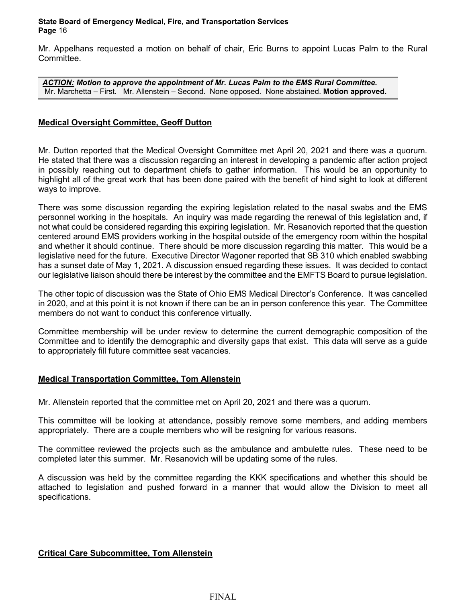Mr. Appelhans requested a motion on behalf of chair, Eric Burns to appoint Lucas Palm to the Rural Committee.

*ACTION: Motion to approve the appointment of Mr. Lucas Palm to the EMS Rural Committee.*  Mr. Marchetta – First. Mr. Allenstein – Second. None opposed. None abstained. **Motion approved.**

# **Medical Oversight Committee, Geoff Dutton**

Mr. Dutton reported that the Medical Oversight Committee met April 20, 2021 and there was a quorum. He stated that there was a discussion regarding an interest in developing a pandemic after action project in possibly reaching out to department chiefs to gather information. This would be an opportunity to highlight all of the great work that has been done paired with the benefit of hind sight to look at different ways to improve.

There was some discussion regarding the expiring legislation related to the nasal swabs and the EMS personnel working in the hospitals. An inquiry was made regarding the renewal of this legislation and, if not what could be considered regarding this expiring legislation. Mr. Resanovich reported that the question centered around EMS providers working in the hospital outside of the emergency room within the hospital and whether it should continue. There should be more discussion regarding this matter. This would be a legislative need for the future. Executive Director Wagoner reported that SB 310 which enabled swabbing has a sunset date of May 1, 2021. A discussion ensued regarding these issues. It was decided to contact our legislative liaison should there be interest by the committee and the EMFTS Board to pursue legislation.

The other topic of discussion was the State of Ohio EMS Medical Director's Conference. It was cancelled in 2020, and at this point it is not known if there can be an in person conference this year. The Committee members do not want to conduct this conference virtually.

Committee membership will be under review to determine the current demographic composition of the Committee and to identify the demographic and diversity gaps that exist. This data will serve as a guide to appropriately fill future committee seat vacancies.

# **Medical Transportation Committee, Tom Allenstein**

Mr. Allenstein reported that the committee met on April 20, 2021 and there was a quorum.

This committee will be looking at attendance, possibly remove some members, and adding members appropriately. There are a couple members who will be resigning for various reasons.

The committee reviewed the projects such as the ambulance and ambulette rules. These need to be completed later this summer. Mr. Resanovich will be updating some of the rules.

A discussion was held by the committee regarding the KKK specifications and whether this should be attached to legislation and pushed forward in a manner that would allow the Division to meet all specifications.

#### **Critical Care Subcommittee, Tom Allenstein**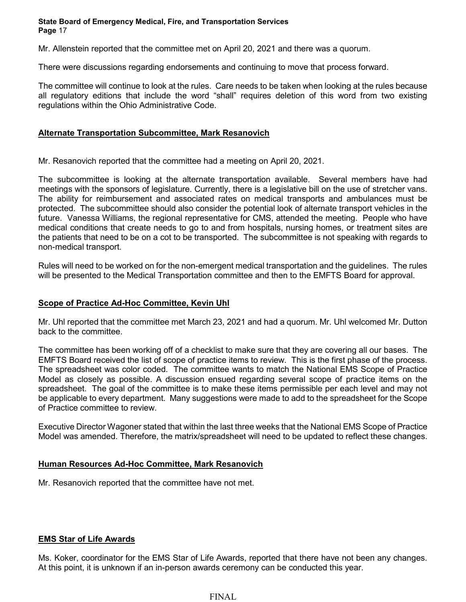Mr. Allenstein reported that the committee met on April 20, 2021 and there was a quorum.

There were discussions regarding endorsements and continuing to move that process forward.

The committee will continue to look at the rules. Care needs to be taken when looking at the rules because all regulatory editions that include the word "shall" requires deletion of this word from two existing regulations within the Ohio Administrative Code.

## **Alternate Transportation Subcommittee, Mark Resanovich**

Mr. Resanovich reported that the committee had a meeting on April 20, 2021.

The subcommittee is looking at the alternate transportation available. Several members have had meetings with the sponsors of legislature. Currently, there is a legislative bill on the use of stretcher vans. The ability for reimbursement and associated rates on medical transports and ambulances must be protected. The subcommittee should also consider the potential look of alternate transport vehicles in the future. Vanessa Williams, the regional representative for CMS, attended the meeting. People who have medical conditions that create needs to go to and from hospitals, nursing homes, or treatment sites are the patients that need to be on a cot to be transported. The subcommittee is not speaking with regards to non-medical transport.

Rules will need to be worked on for the non-emergent medical transportation and the guidelines. The rules will be presented to the Medical Transportation committee and then to the EMFTS Board for approval.

# **Scope of Practice Ad-Hoc Committee, Kevin Uhl**

Mr. Uhl reported that the committee met March 23, 2021 and had a quorum. Mr. Uhl welcomed Mr. Dutton back to the committee.

The committee has been working off of a checklist to make sure that they are covering all our bases. The EMFTS Board received the list of scope of practice items to review. This is the first phase of the process. The spreadsheet was color coded. The committee wants to match the National EMS Scope of Practice Model as closely as possible. A discussion ensued regarding several scope of practice items on the spreadsheet. The goal of the committee is to make these items permissible per each level and may not be applicable to every department. Many suggestions were made to add to the spreadsheet for the Scope of Practice committee to review.

Executive Director Wagoner stated that within the last three weeks that the National EMS Scope of Practice Model was amended. Therefore, the matrix/spreadsheet will need to be updated to reflect these changes.

#### **Human Resources Ad-Hoc Committee, Mark Resanovich**

Mr. Resanovich reported that the committee have not met.

## **EMS Star of Life Awards**

Ms. Koker, coordinator for the EMS Star of Life Awards, reported that there have not been any changes. At this point, it is unknown if an in-person awards ceremony can be conducted this year.